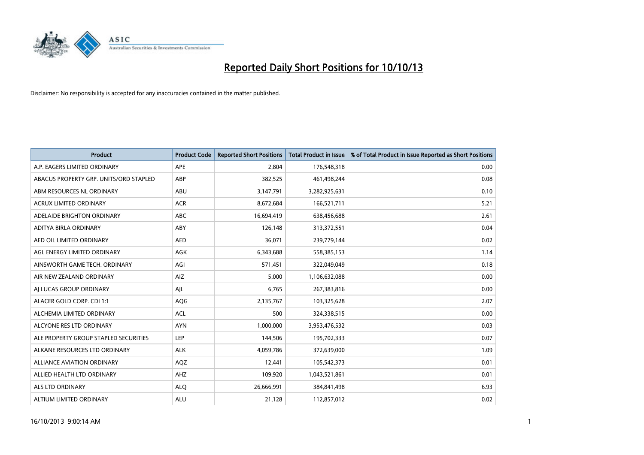

| <b>Product</b>                         | <b>Product Code</b> | <b>Reported Short Positions</b> | <b>Total Product in Issue</b> | % of Total Product in Issue Reported as Short Positions |
|----------------------------------------|---------------------|---------------------------------|-------------------------------|---------------------------------------------------------|
| A.P. EAGERS LIMITED ORDINARY           | APE                 | 2,804                           | 176,548,318                   | 0.00                                                    |
| ABACUS PROPERTY GRP. UNITS/ORD STAPLED | ABP                 | 382,525                         | 461,498,244                   | 0.08                                                    |
| ABM RESOURCES NL ORDINARY              | ABU                 | 3,147,791                       | 3,282,925,631                 | 0.10                                                    |
| ACRUX LIMITED ORDINARY                 | <b>ACR</b>          | 8,672,684                       | 166,521,711                   | 5.21                                                    |
| ADELAIDE BRIGHTON ORDINARY             | ABC                 | 16,694,419                      | 638,456,688                   | 2.61                                                    |
| ADITYA BIRLA ORDINARY                  | ABY                 | 126,148                         | 313,372,551                   | 0.04                                                    |
| AED OIL LIMITED ORDINARY               | <b>AED</b>          | 36,071                          | 239,779,144                   | 0.02                                                    |
| AGL ENERGY LIMITED ORDINARY            | AGK                 | 6,343,688                       | 558,385,153                   | 1.14                                                    |
| AINSWORTH GAME TECH. ORDINARY          | AGI                 | 571,451                         | 322,049,049                   | 0.18                                                    |
| AIR NEW ZEALAND ORDINARY               | AIZ                 | 5,000                           | 1,106,632,088                 | 0.00                                                    |
| AI LUCAS GROUP ORDINARY                | AJL                 | 6,765                           | 267,383,816                   | 0.00                                                    |
| ALACER GOLD CORP. CDI 1:1              | AQG                 | 2,135,767                       | 103,325,628                   | 2.07                                                    |
| ALCHEMIA LIMITED ORDINARY              | <b>ACL</b>          | 500                             | 324,338,515                   | 0.00                                                    |
| ALCYONE RES LTD ORDINARY               | <b>AYN</b>          | 1,000,000                       | 3,953,476,532                 | 0.03                                                    |
| ALE PROPERTY GROUP STAPLED SECURITIES  | <b>LEP</b>          | 144,506                         | 195,702,333                   | 0.07                                                    |
| ALKANE RESOURCES LTD ORDINARY          | <b>ALK</b>          | 4,059,786                       | 372,639,000                   | 1.09                                                    |
| ALLIANCE AVIATION ORDINARY             | AQZ                 | 12,441                          | 105,542,373                   | 0.01                                                    |
| ALLIED HEALTH LTD ORDINARY             | AHZ                 | 109,920                         | 1,043,521,861                 | 0.01                                                    |
| ALS LTD ORDINARY                       | <b>ALO</b>          | 26,666,991                      | 384, 841, 498                 | 6.93                                                    |
| ALTIUM LIMITED ORDINARY                | <b>ALU</b>          | 21,128                          | 112,857,012                   | 0.02                                                    |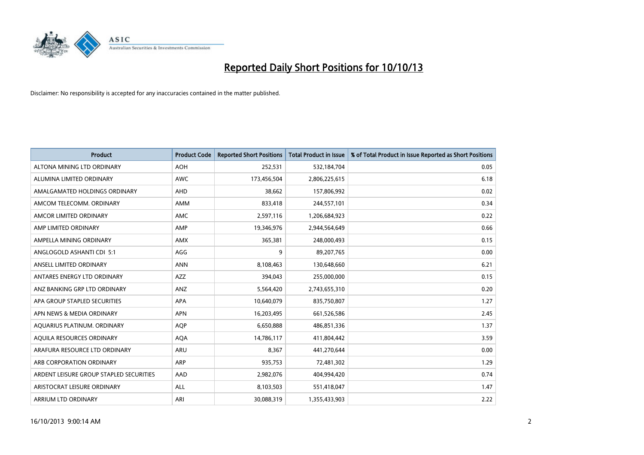

| <b>Product</b>                          | <b>Product Code</b> | <b>Reported Short Positions</b> | <b>Total Product in Issue</b> | % of Total Product in Issue Reported as Short Positions |
|-----------------------------------------|---------------------|---------------------------------|-------------------------------|---------------------------------------------------------|
| ALTONA MINING LTD ORDINARY              | <b>AOH</b>          | 252,531                         | 532,184,704                   | 0.05                                                    |
| ALUMINA LIMITED ORDINARY                | <b>AWC</b>          | 173,456,504                     | 2,806,225,615                 | 6.18                                                    |
| AMALGAMATED HOLDINGS ORDINARY           | AHD                 | 38,662                          | 157,806,992                   | 0.02                                                    |
| AMCOM TELECOMM, ORDINARY                | AMM                 | 833,418                         | 244,557,101                   | 0.34                                                    |
| AMCOR LIMITED ORDINARY                  | AMC                 | 2,597,116                       | 1,206,684,923                 | 0.22                                                    |
| AMP LIMITED ORDINARY                    | AMP                 | 19,346,976                      | 2,944,564,649                 | 0.66                                                    |
| AMPELLA MINING ORDINARY                 | AMX                 | 365,381                         | 248,000,493                   | 0.15                                                    |
| ANGLOGOLD ASHANTI CDI 5:1               | AGG                 | 9                               | 89,207,765                    | 0.00                                                    |
| ANSELL LIMITED ORDINARY                 | <b>ANN</b>          | 8,108,463                       | 130,648,660                   | 6.21                                                    |
| ANTARES ENERGY LTD ORDINARY             | <b>AZZ</b>          | 394,043                         | 255,000,000                   | 0.15                                                    |
| ANZ BANKING GRP LTD ORDINARY            | ANZ                 | 5,564,420                       | 2,743,655,310                 | 0.20                                                    |
| APA GROUP STAPLED SECURITIES            | APA                 | 10,640,079                      | 835,750,807                   | 1.27                                                    |
| APN NEWS & MEDIA ORDINARY               | <b>APN</b>          | 16,203,495                      | 661,526,586                   | 2.45                                                    |
| AQUARIUS PLATINUM. ORDINARY             | <b>AOP</b>          | 6,650,888                       | 486,851,336                   | 1.37                                                    |
| AQUILA RESOURCES ORDINARY               | <b>AQA</b>          | 14,786,117                      | 411,804,442                   | 3.59                                                    |
| ARAFURA RESOURCE LTD ORDINARY           | ARU                 | 8,367                           | 441,270,644                   | 0.00                                                    |
| ARB CORPORATION ORDINARY                | ARP                 | 935,753                         | 72,481,302                    | 1.29                                                    |
| ARDENT LEISURE GROUP STAPLED SECURITIES | AAD                 | 2,982,076                       | 404,994,420                   | 0.74                                                    |
| ARISTOCRAT LEISURE ORDINARY             | <b>ALL</b>          | 8,103,503                       | 551,418,047                   | 1.47                                                    |
| ARRIUM LTD ORDINARY                     | ARI                 | 30,088,319                      | 1,355,433,903                 | 2.22                                                    |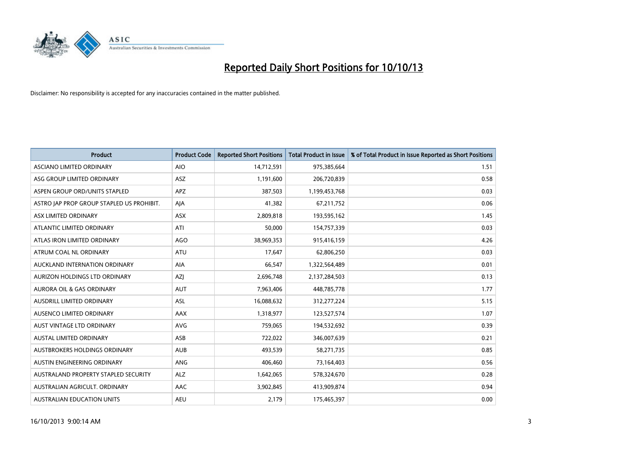

| <b>Product</b>                            | <b>Product Code</b> | <b>Reported Short Positions</b> | <b>Total Product in Issue</b> | % of Total Product in Issue Reported as Short Positions |
|-------------------------------------------|---------------------|---------------------------------|-------------------------------|---------------------------------------------------------|
| <b>ASCIANO LIMITED ORDINARY</b>           | <b>AIO</b>          | 14,712,591                      | 975,385,664                   | 1.51                                                    |
| ASG GROUP LIMITED ORDINARY                | ASZ                 | 1,191,600                       | 206,720,839                   | 0.58                                                    |
| ASPEN GROUP ORD/UNITS STAPLED             | <b>APZ</b>          | 387,503                         | 1,199,453,768                 | 0.03                                                    |
| ASTRO JAP PROP GROUP STAPLED US PROHIBIT. | AJA                 | 41,382                          | 67,211,752                    | 0.06                                                    |
| ASX LIMITED ORDINARY                      | ASX                 | 2,809,818                       | 193,595,162                   | 1.45                                                    |
| ATLANTIC LIMITED ORDINARY                 | ATI                 | 50,000                          | 154,757,339                   | 0.03                                                    |
| ATLAS IRON LIMITED ORDINARY               | <b>AGO</b>          | 38,969,353                      | 915,416,159                   | 4.26                                                    |
| ATRUM COAL NL ORDINARY                    | <b>ATU</b>          | 17,647                          | 62,806,250                    | 0.03                                                    |
| AUCKLAND INTERNATION ORDINARY             | <b>AIA</b>          | 66,547                          | 1,322,564,489                 | 0.01                                                    |
| AURIZON HOLDINGS LTD ORDINARY             | AZI                 | 2,696,748                       | 2,137,284,503                 | 0.13                                                    |
| AURORA OIL & GAS ORDINARY                 | AUT                 | 7,963,406                       | 448,785,778                   | 1.77                                                    |
| <b>AUSDRILL LIMITED ORDINARY</b>          | ASL                 | 16,088,632                      | 312,277,224                   | 5.15                                                    |
| AUSENCO LIMITED ORDINARY                  | AAX                 | 1,318,977                       | 123,527,574                   | 1.07                                                    |
| AUST VINTAGE LTD ORDINARY                 | <b>AVG</b>          | 759,065                         | 194,532,692                   | 0.39                                                    |
| <b>AUSTAL LIMITED ORDINARY</b>            | ASB                 | 722,022                         | 346,007,639                   | 0.21                                                    |
| AUSTBROKERS HOLDINGS ORDINARY             | <b>AUB</b>          | 493,539                         | 58,271,735                    | 0.85                                                    |
| AUSTIN ENGINEERING ORDINARY               | ANG                 | 406,460                         | 73,164,403                    | 0.56                                                    |
| AUSTRALAND PROPERTY STAPLED SECURITY      | <b>ALZ</b>          | 1,642,065                       | 578,324,670                   | 0.28                                                    |
| AUSTRALIAN AGRICULT, ORDINARY             | AAC                 | 3,902,845                       | 413,909,874                   | 0.94                                                    |
| AUSTRALIAN EDUCATION UNITS                | <b>AEU</b>          | 2,179                           | 175,465,397                   | 0.00                                                    |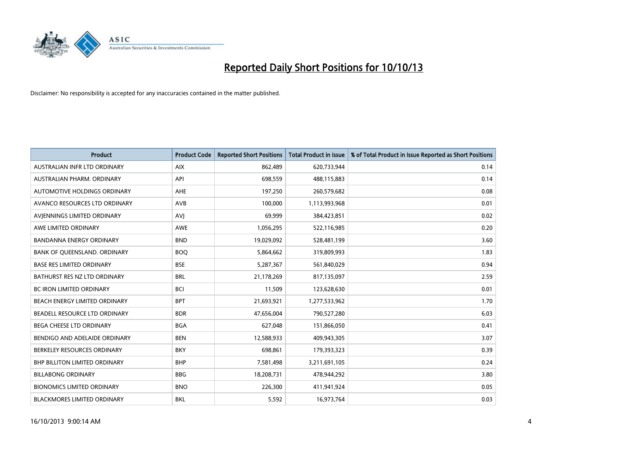

| <b>Product</b>                     | <b>Product Code</b> | <b>Reported Short Positions</b> | <b>Total Product in Issue</b> | % of Total Product in Issue Reported as Short Positions |
|------------------------------------|---------------------|---------------------------------|-------------------------------|---------------------------------------------------------|
| AUSTRALIAN INFR LTD ORDINARY       | <b>AIX</b>          | 862,489                         | 620,733,944                   | 0.14                                                    |
| AUSTRALIAN PHARM, ORDINARY         | API                 | 698,559                         | 488,115,883                   | 0.14                                                    |
| AUTOMOTIVE HOLDINGS ORDINARY       | <b>AHE</b>          | 197,250                         | 260,579,682                   | 0.08                                                    |
| AVANCO RESOURCES LTD ORDINARY      | AVB                 | 100,000                         | 1,113,993,968                 | 0.01                                                    |
| AVIENNINGS LIMITED ORDINARY        | AVI                 | 69,999                          | 384,423,851                   | 0.02                                                    |
| AWE LIMITED ORDINARY               | <b>AWE</b>          | 1,056,295                       | 522,116,985                   | 0.20                                                    |
| <b>BANDANNA ENERGY ORDINARY</b>    | <b>BND</b>          | 19,029,092                      | 528,481,199                   | 3.60                                                    |
| BANK OF QUEENSLAND. ORDINARY       | <b>BOQ</b>          | 5,864,662                       | 319,809,993                   | 1.83                                                    |
| <b>BASE RES LIMITED ORDINARY</b>   | <b>BSE</b>          | 5,287,367                       | 561,840,029                   | 0.94                                                    |
| BATHURST RES NZ LTD ORDINARY       | <b>BRL</b>          | 21,178,269                      | 817,135,097                   | 2.59                                                    |
| BC IRON LIMITED ORDINARY           | <b>BCI</b>          | 11,509                          | 123,628,630                   | 0.01                                                    |
| BEACH ENERGY LIMITED ORDINARY      | <b>BPT</b>          | 21,693,921                      | 1,277,533,962                 | 1.70                                                    |
| BEADELL RESOURCE LTD ORDINARY      | <b>BDR</b>          | 47,656,004                      | 790,527,280                   | 6.03                                                    |
| <b>BEGA CHEESE LTD ORDINARY</b>    | <b>BGA</b>          | 627,048                         | 151,866,050                   | 0.41                                                    |
| BENDIGO AND ADELAIDE ORDINARY      | <b>BEN</b>          | 12,588,933                      | 409,943,305                   | 3.07                                                    |
| BERKELEY RESOURCES ORDINARY        | <b>BKY</b>          | 698,861                         | 179,393,323                   | 0.39                                                    |
| BHP BILLITON LIMITED ORDINARY      | <b>BHP</b>          | 7,581,498                       | 3,211,691,105                 | 0.24                                                    |
| <b>BILLABONG ORDINARY</b>          | <b>BBG</b>          | 18,208,731                      | 478,944,292                   | 3.80                                                    |
| <b>BIONOMICS LIMITED ORDINARY</b>  | <b>BNO</b>          | 226,300                         | 411,941,924                   | 0.05                                                    |
| <b>BLACKMORES LIMITED ORDINARY</b> | <b>BKL</b>          | 5,592                           | 16,973,764                    | 0.03                                                    |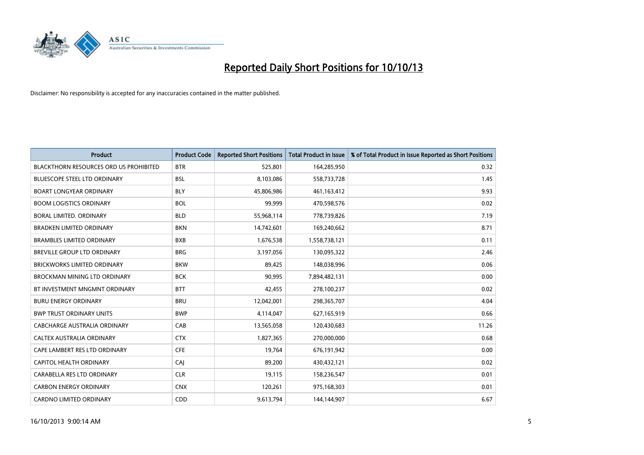

| <b>Product</b>                                | <b>Product Code</b> | <b>Reported Short Positions</b> | <b>Total Product in Issue</b> | % of Total Product in Issue Reported as Short Positions |
|-----------------------------------------------|---------------------|---------------------------------|-------------------------------|---------------------------------------------------------|
| <b>BLACKTHORN RESOURCES ORD US PROHIBITED</b> | <b>BTR</b>          | 525,801                         | 164,285,950                   | 0.32                                                    |
| <b>BLUESCOPE STEEL LTD ORDINARY</b>           | <b>BSL</b>          | 8,103,086                       | 558,733,728                   | 1.45                                                    |
| <b>BOART LONGYEAR ORDINARY</b>                | <b>BLY</b>          | 45,806,986                      | 461,163,412                   | 9.93                                                    |
| <b>BOOM LOGISTICS ORDINARY</b>                | <b>BOL</b>          | 99,999                          | 470,598,576                   | 0.02                                                    |
| <b>BORAL LIMITED, ORDINARY</b>                | <b>BLD</b>          | 55,968,114                      | 778,739,826                   | 7.19                                                    |
| <b>BRADKEN LIMITED ORDINARY</b>               | <b>BKN</b>          | 14,742,601                      | 169,240,662                   | 8.71                                                    |
| <b>BRAMBLES LIMITED ORDINARY</b>              | <b>BXB</b>          | 1,676,538                       | 1,558,738,121                 | 0.11                                                    |
| <b>BREVILLE GROUP LTD ORDINARY</b>            | <b>BRG</b>          | 3,197,056                       | 130,095,322                   | 2.46                                                    |
| <b>BRICKWORKS LIMITED ORDINARY</b>            | <b>BKW</b>          | 89,425                          | 148,038,996                   | 0.06                                                    |
| BROCKMAN MINING LTD ORDINARY                  | <b>BCK</b>          | 90,995                          | 7,894,482,131                 | 0.00                                                    |
| BT INVESTMENT MNGMNT ORDINARY                 | <b>BTT</b>          | 42,455                          | 278,100,237                   | 0.02                                                    |
| <b>BURU ENERGY ORDINARY</b>                   | <b>BRU</b>          | 12,042,001                      | 298,365,707                   | 4.04                                                    |
| <b>BWP TRUST ORDINARY UNITS</b>               | <b>BWP</b>          | 4,114,047                       | 627,165,919                   | 0.66                                                    |
| <b>CABCHARGE AUSTRALIA ORDINARY</b>           | CAB                 | 13,565,058                      | 120,430,683                   | 11.26                                                   |
| CALTEX AUSTRALIA ORDINARY                     | <b>CTX</b>          | 1,827,365                       | 270,000,000                   | 0.68                                                    |
| CAPE LAMBERT RES LTD ORDINARY                 | <b>CFE</b>          | 19,764                          | 676,191,942                   | 0.00                                                    |
| CAPITOL HEALTH ORDINARY                       | CAI                 | 89,200                          | 430,432,121                   | 0.02                                                    |
| CARABELLA RES LTD ORDINARY                    | <b>CLR</b>          | 19,115                          | 158,236,547                   | 0.01                                                    |
| <b>CARBON ENERGY ORDINARY</b>                 | <b>CNX</b>          | 120,261                         | 975,168,303                   | 0.01                                                    |
| <b>CARDNO LIMITED ORDINARY</b>                | CDD                 | 9,613,794                       | 144,144,907                   | 6.67                                                    |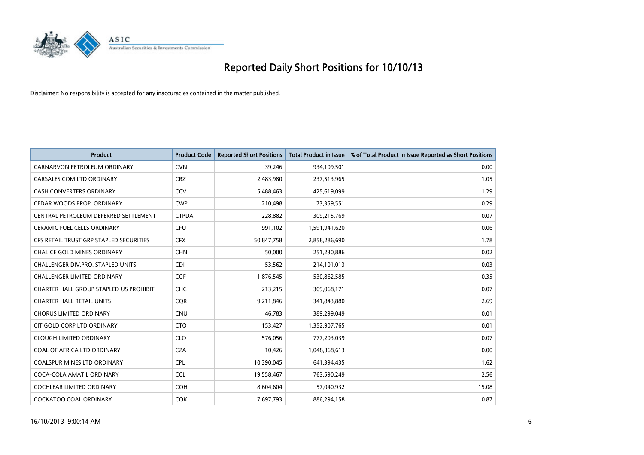

| <b>Product</b>                          | <b>Product Code</b> | <b>Reported Short Positions</b> | <b>Total Product in Issue</b> | % of Total Product in Issue Reported as Short Positions |
|-----------------------------------------|---------------------|---------------------------------|-------------------------------|---------------------------------------------------------|
| CARNARVON PETROLEUM ORDINARY            | <b>CVN</b>          | 39,246                          | 934,109,501                   | 0.00                                                    |
| CARSALES.COM LTD ORDINARY               | <b>CRZ</b>          | 2,483,980                       | 237,513,965                   | 1.05                                                    |
| <b>CASH CONVERTERS ORDINARY</b>         | CCV                 | 5,488,463                       | 425,619,099                   | 1.29                                                    |
| CEDAR WOODS PROP. ORDINARY              | <b>CWP</b>          | 210,498                         | 73,359,551                    | 0.29                                                    |
| CENTRAL PETROLEUM DEFERRED SETTLEMENT   | <b>CTPDA</b>        | 228,882                         | 309,215,769                   | 0.07                                                    |
| <b>CERAMIC FUEL CELLS ORDINARY</b>      | <b>CFU</b>          | 991,102                         | 1,591,941,620                 | 0.06                                                    |
| CFS RETAIL TRUST GRP STAPLED SECURITIES | <b>CFX</b>          | 50,847,758                      | 2,858,286,690                 | 1.78                                                    |
| CHALICE GOLD MINES ORDINARY             | <b>CHN</b>          | 50,000                          | 251,230,886                   | 0.02                                                    |
| CHALLENGER DIV.PRO. STAPLED UNITS       | <b>CDI</b>          | 53,562                          | 214,101,013                   | 0.03                                                    |
| <b>CHALLENGER LIMITED ORDINARY</b>      | <b>CGF</b>          | 1,876,545                       | 530,862,585                   | 0.35                                                    |
| CHARTER HALL GROUP STAPLED US PROHIBIT. | <b>CHC</b>          | 213,215                         | 309,068,171                   | 0.07                                                    |
| <b>CHARTER HALL RETAIL UNITS</b>        | <b>CQR</b>          | 9,211,846                       | 341,843,880                   | 2.69                                                    |
| <b>CHORUS LIMITED ORDINARY</b>          | <b>CNU</b>          | 46,783                          | 389,299,049                   | 0.01                                                    |
| CITIGOLD CORP LTD ORDINARY              | <b>CTO</b>          | 153,427                         | 1,352,907,765                 | 0.01                                                    |
| <b>CLOUGH LIMITED ORDINARY</b>          | <b>CLO</b>          | 576,056                         | 777,203,039                   | 0.07                                                    |
| COAL OF AFRICA LTD ORDINARY             | <b>CZA</b>          | 10,426                          | 1,048,368,613                 | 0.00                                                    |
| COALSPUR MINES LTD ORDINARY             | <b>CPL</b>          | 10,390,045                      | 641,394,435                   | 1.62                                                    |
| COCA-COLA AMATIL ORDINARY               | <b>CCL</b>          | 19,558,467                      | 763,590,249                   | 2.56                                                    |
| <b>COCHLEAR LIMITED ORDINARY</b>        | <b>COH</b>          | 8,604,604                       | 57,040,932                    | 15.08                                                   |
| COCKATOO COAL ORDINARY                  | <b>COK</b>          | 7,697,793                       | 886,294,158                   | 0.87                                                    |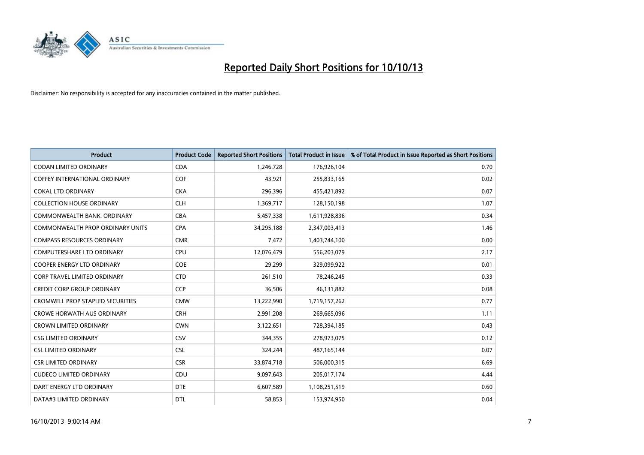

| <b>Product</b>                          | <b>Product Code</b> | <b>Reported Short Positions</b> | <b>Total Product in Issue</b> | % of Total Product in Issue Reported as Short Positions |
|-----------------------------------------|---------------------|---------------------------------|-------------------------------|---------------------------------------------------------|
| <b>CODAN LIMITED ORDINARY</b>           | <b>CDA</b>          | 1,246,728                       | 176,926,104                   | 0.70                                                    |
| COFFEY INTERNATIONAL ORDINARY           | <b>COF</b>          | 43,921                          | 255,833,165                   | 0.02                                                    |
| <b>COKAL LTD ORDINARY</b>               | <b>CKA</b>          | 296,396                         | 455,421,892                   | 0.07                                                    |
| <b>COLLECTION HOUSE ORDINARY</b>        | <b>CLH</b>          | 1,369,717                       | 128,150,198                   | 1.07                                                    |
| COMMONWEALTH BANK, ORDINARY             | <b>CBA</b>          | 5,457,338                       | 1,611,928,836                 | 0.34                                                    |
| COMMONWEALTH PROP ORDINARY UNITS        | <b>CPA</b>          | 34,295,188                      | 2,347,003,413                 | 1.46                                                    |
| <b>COMPASS RESOURCES ORDINARY</b>       | <b>CMR</b>          | 7,472                           | 1,403,744,100                 | 0.00                                                    |
| <b>COMPUTERSHARE LTD ORDINARY</b>       | <b>CPU</b>          | 12,076,479                      | 556,203,079                   | 2.17                                                    |
| COOPER ENERGY LTD ORDINARY              | <b>COE</b>          | 29,299                          | 329,099,922                   | 0.01                                                    |
| CORP TRAVEL LIMITED ORDINARY            | <b>CTD</b>          | 261,510                         | 78,246,245                    | 0.33                                                    |
| <b>CREDIT CORP GROUP ORDINARY</b>       | <b>CCP</b>          | 36,506                          | 46,131,882                    | 0.08                                                    |
| <b>CROMWELL PROP STAPLED SECURITIES</b> | <b>CMW</b>          | 13,222,990                      | 1,719,157,262                 | 0.77                                                    |
| <b>CROWE HORWATH AUS ORDINARY</b>       | <b>CRH</b>          | 2,991,208                       | 269,665,096                   | 1.11                                                    |
| <b>CROWN LIMITED ORDINARY</b>           | <b>CWN</b>          | 3,122,651                       | 728,394,185                   | 0.43                                                    |
| <b>CSG LIMITED ORDINARY</b>             | CSV                 | 344,355                         | 278,973,075                   | 0.12                                                    |
| <b>CSL LIMITED ORDINARY</b>             | <b>CSL</b>          | 324,244                         | 487, 165, 144                 | 0.07                                                    |
| <b>CSR LIMITED ORDINARY</b>             | <b>CSR</b>          | 33,874,718                      | 506,000,315                   | 6.69                                                    |
| <b>CUDECO LIMITED ORDINARY</b>          | <b>CDU</b>          | 9,097,643                       | 205,017,174                   | 4.44                                                    |
| DART ENERGY LTD ORDINARY                | <b>DTE</b>          | 6,607,589                       | 1,108,251,519                 | 0.60                                                    |
| DATA#3 LIMITED ORDINARY                 | <b>DTL</b>          | 58,853                          | 153,974,950                   | 0.04                                                    |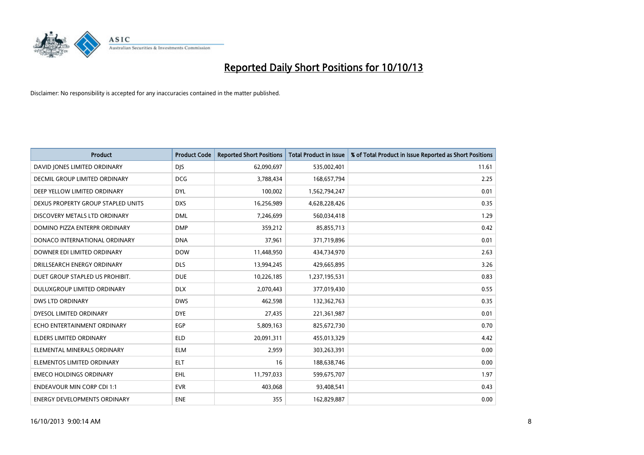

| <b>Product</b>                       | <b>Product Code</b> | <b>Reported Short Positions</b> | <b>Total Product in Issue</b> | % of Total Product in Issue Reported as Short Positions |
|--------------------------------------|---------------------|---------------------------------|-------------------------------|---------------------------------------------------------|
| DAVID JONES LIMITED ORDINARY         | <b>DJS</b>          | 62,090,697                      | 535,002,401                   | 11.61                                                   |
| <b>DECMIL GROUP LIMITED ORDINARY</b> | <b>DCG</b>          | 3,788,434                       | 168,657,794                   | 2.25                                                    |
| DEEP YELLOW LIMITED ORDINARY         | <b>DYL</b>          | 100,002                         | 1,562,794,247                 | 0.01                                                    |
| DEXUS PROPERTY GROUP STAPLED UNITS   | <b>DXS</b>          | 16,256,989                      | 4,628,228,426                 | 0.35                                                    |
| DISCOVERY METALS LTD ORDINARY        | <b>DML</b>          | 7,246,699                       | 560,034,418                   | 1.29                                                    |
| DOMINO PIZZA ENTERPR ORDINARY        | <b>DMP</b>          | 359,212                         | 85,855,713                    | 0.42                                                    |
| DONACO INTERNATIONAL ORDINARY        | <b>DNA</b>          | 37,961                          | 371,719,896                   | 0.01                                                    |
| DOWNER EDI LIMITED ORDINARY          | <b>DOW</b>          | 11,448,950                      | 434,734,970                   | 2.63                                                    |
| DRILLSEARCH ENERGY ORDINARY          | <b>DLS</b>          | 13,994,245                      | 429,665,895                   | 3.26                                                    |
| DUET GROUP STAPLED US PROHIBIT.      | <b>DUE</b>          | 10,226,185                      | 1,237,195,531                 | 0.83                                                    |
| <b>DULUXGROUP LIMITED ORDINARY</b>   | <b>DLX</b>          | 2,070,443                       | 377,019,430                   | 0.55                                                    |
| DWS LTD ORDINARY                     | <b>DWS</b>          | 462,598                         | 132,362,763                   | 0.35                                                    |
| DYESOL LIMITED ORDINARY              | <b>DYE</b>          | 27,435                          | 221,361,987                   | 0.01                                                    |
| ECHO ENTERTAINMENT ORDINARY          | <b>EGP</b>          | 5,809,163                       | 825,672,730                   | 0.70                                                    |
| <b>ELDERS LIMITED ORDINARY</b>       | <b>ELD</b>          | 20,091,311                      | 455,013,329                   | 4.42                                                    |
| ELEMENTAL MINERALS ORDINARY          | <b>ELM</b>          | 2,959                           | 303,263,391                   | 0.00                                                    |
| ELEMENTOS LIMITED ORDINARY           | ELT                 | 16                              | 188,638,746                   | 0.00                                                    |
| <b>EMECO HOLDINGS ORDINARY</b>       | EHL                 | 11,797,033                      | 599,675,707                   | 1.97                                                    |
| <b>ENDEAVOUR MIN CORP CDI 1:1</b>    | <b>EVR</b>          | 403,068                         | 93,408,541                    | 0.43                                                    |
| ENERGY DEVELOPMENTS ORDINARY         | <b>ENE</b>          | 355                             | 162,829,887                   | 0.00                                                    |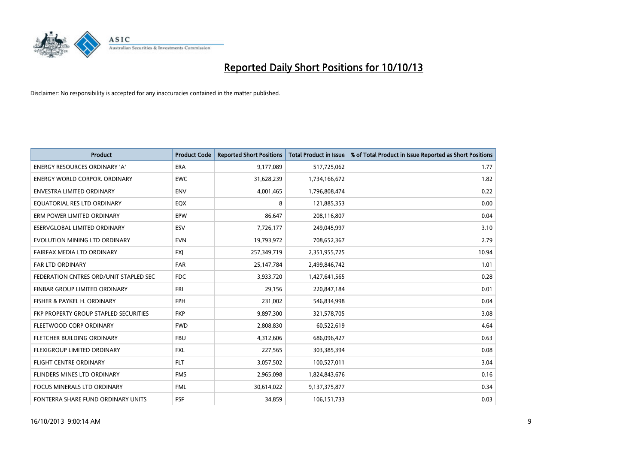

| <b>Product</b>                         | <b>Product Code</b> | <b>Reported Short Positions</b> | <b>Total Product in Issue</b> | % of Total Product in Issue Reported as Short Positions |
|----------------------------------------|---------------------|---------------------------------|-------------------------------|---------------------------------------------------------|
| <b>ENERGY RESOURCES ORDINARY 'A'</b>   | ERA                 | 9,177,089                       | 517,725,062                   | 1.77                                                    |
| <b>ENERGY WORLD CORPOR, ORDINARY</b>   | <b>EWC</b>          | 31,628,239                      | 1,734,166,672                 | 1.82                                                    |
| <b>ENVESTRA LIMITED ORDINARY</b>       | <b>ENV</b>          | 4,001,465                       | 1,796,808,474                 | 0.22                                                    |
| EQUATORIAL RES LTD ORDINARY            | EQX                 | 8                               | 121,885,353                   | 0.00                                                    |
| ERM POWER LIMITED ORDINARY             | EPW                 | 86.647                          | 208,116,807                   | 0.04                                                    |
| ESERVGLOBAL LIMITED ORDINARY           | ESV                 | 7,726,177                       | 249,045,997                   | 3.10                                                    |
| EVOLUTION MINING LTD ORDINARY          | <b>EVN</b>          | 19,793,972                      | 708,652,367                   | 2.79                                                    |
| FAIRFAX MEDIA LTD ORDINARY             | <b>FXI</b>          | 257,349,719                     | 2,351,955,725                 | 10.94                                                   |
| <b>FAR LTD ORDINARY</b>                | <b>FAR</b>          | 25,147,784                      | 2,499,846,742                 | 1.01                                                    |
| FEDERATION CNTRES ORD/UNIT STAPLED SEC | <b>FDC</b>          | 3,933,720                       | 1,427,641,565                 | 0.28                                                    |
| FINBAR GROUP LIMITED ORDINARY          | <b>FRI</b>          | 29,156                          | 220,847,184                   | 0.01                                                    |
| FISHER & PAYKEL H. ORDINARY            | FPH                 | 231,002                         | 546,834,998                   | 0.04                                                    |
| FKP PROPERTY GROUP STAPLED SECURITIES  | <b>FKP</b>          | 9,897,300                       | 321,578,705                   | 3.08                                                    |
| FLEETWOOD CORP ORDINARY                | <b>FWD</b>          | 2,808,830                       | 60,522,619                    | 4.64                                                    |
| FLETCHER BUILDING ORDINARY             | <b>FBU</b>          | 4,312,606                       | 686,096,427                   | 0.63                                                    |
| FLEXIGROUP LIMITED ORDINARY            | <b>FXL</b>          | 227,565                         | 303,385,394                   | 0.08                                                    |
| <b>FLIGHT CENTRE ORDINARY</b>          | <b>FLT</b>          | 3,057,502                       | 100,527,011                   | 3.04                                                    |
| FLINDERS MINES LTD ORDINARY            | <b>FMS</b>          | 2,965,098                       | 1,824,843,676                 | 0.16                                                    |
| <b>FOCUS MINERALS LTD ORDINARY</b>     | <b>FML</b>          | 30,614,022                      | 9,137,375,877                 | 0.34                                                    |
| FONTERRA SHARE FUND ORDINARY UNITS     | <b>FSF</b>          | 34.859                          | 106,151,733                   | 0.03                                                    |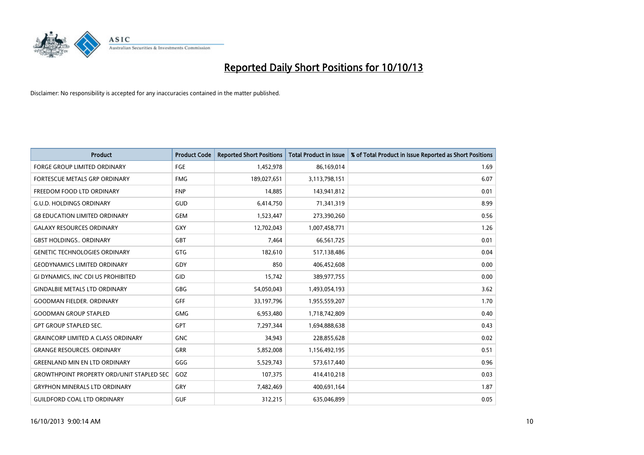

| <b>Product</b>                                   | <b>Product Code</b> | <b>Reported Short Positions</b> | <b>Total Product in Issue</b> | % of Total Product in Issue Reported as Short Positions |
|--------------------------------------------------|---------------------|---------------------------------|-------------------------------|---------------------------------------------------------|
| <b>FORGE GROUP LIMITED ORDINARY</b>              | FGE                 | 1,452,978                       | 86,169,014                    | 1.69                                                    |
| FORTESCUE METALS GRP ORDINARY                    | <b>FMG</b>          | 189,027,651                     | 3,113,798,151                 | 6.07                                                    |
| FREEDOM FOOD LTD ORDINARY                        | <b>FNP</b>          | 14,885                          | 143,941,812                   | 0.01                                                    |
| <b>G.U.D. HOLDINGS ORDINARY</b>                  | GUD                 | 6,414,750                       | 71,341,319                    | 8.99                                                    |
| <b>G8 EDUCATION LIMITED ORDINARY</b>             | <b>GEM</b>          | 1,523,447                       | 273,390,260                   | 0.56                                                    |
| <b>GALAXY RESOURCES ORDINARY</b>                 | GXY                 | 12,702,043                      | 1,007,458,771                 | 1.26                                                    |
| <b>GBST HOLDINGS ORDINARY</b>                    | GBT                 | 7,464                           | 66,561,725                    | 0.01                                                    |
| <b>GENETIC TECHNOLOGIES ORDINARY</b>             | GTG                 | 182,610                         | 517,138,486                   | 0.04                                                    |
| <b>GEODYNAMICS LIMITED ORDINARY</b>              | GDY                 | 850                             | 406,452,608                   | 0.00                                                    |
| GI DYNAMICS, INC CDI US PROHIBITED               | GID                 | 15,742                          | 389,977,755                   | 0.00                                                    |
| <b>GINDALBIE METALS LTD ORDINARY</b>             | <b>GBG</b>          | 54,050,043                      | 1,493,054,193                 | 3.62                                                    |
| <b>GOODMAN FIELDER. ORDINARY</b>                 | <b>GFF</b>          | 33,197,796                      | 1,955,559,207                 | 1.70                                                    |
| <b>GOODMAN GROUP STAPLED</b>                     | <b>GMG</b>          | 6,953,480                       | 1,718,742,809                 | 0.40                                                    |
| <b>GPT GROUP STAPLED SEC.</b>                    | <b>GPT</b>          | 7,297,344                       | 1,694,888,638                 | 0.43                                                    |
| <b>GRAINCORP LIMITED A CLASS ORDINARY</b>        | <b>GNC</b>          | 34,943                          | 228,855,628                   | 0.02                                                    |
| <b>GRANGE RESOURCES. ORDINARY</b>                | GRR                 | 5,852,008                       | 1,156,492,195                 | 0.51                                                    |
| <b>GREENLAND MIN EN LTD ORDINARY</b>             | GGG                 | 5,529,743                       | 573,617,440                   | 0.96                                                    |
| <b>GROWTHPOINT PROPERTY ORD/UNIT STAPLED SEC</b> | GOZ                 | 107,375                         | 414,410,218                   | 0.03                                                    |
| <b>GRYPHON MINERALS LTD ORDINARY</b>             | GRY                 | 7,482,469                       | 400,691,164                   | 1.87                                                    |
| <b>GUILDFORD COAL LTD ORDINARY</b>               | <b>GUF</b>          | 312,215                         | 635,046,899                   | 0.05                                                    |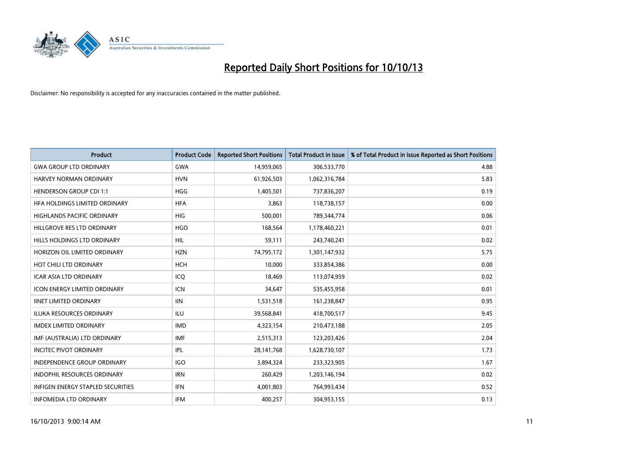

| <b>Product</b>                           | <b>Product Code</b> | <b>Reported Short Positions</b> | <b>Total Product in Issue</b> | % of Total Product in Issue Reported as Short Positions |
|------------------------------------------|---------------------|---------------------------------|-------------------------------|---------------------------------------------------------|
| <b>GWA GROUP LTD ORDINARY</b>            | <b>GWA</b>          | 14,959,065                      | 306,533,770                   | 4.88                                                    |
| HARVEY NORMAN ORDINARY                   | <b>HVN</b>          | 61,926,503                      | 1,062,316,784                 | 5.83                                                    |
| <b>HENDERSON GROUP CDI 1:1</b>           | <b>HGG</b>          | 1,405,501                       | 737,836,207                   | 0.19                                                    |
| HFA HOLDINGS LIMITED ORDINARY            | <b>HFA</b>          | 3,863                           | 118,738,157                   | 0.00                                                    |
| <b>HIGHLANDS PACIFIC ORDINARY</b>        | <b>HIG</b>          | 500,001                         | 789,344,774                   | 0.06                                                    |
| HILLGROVE RES LTD ORDINARY               | <b>HGO</b>          | 168,564                         | 1,178,460,221                 | 0.01                                                    |
| HILLS HOLDINGS LTD ORDINARY              | <b>HIL</b>          | 59,111                          | 243,740,241                   | 0.02                                                    |
| HORIZON OIL LIMITED ORDINARY             | <b>HZN</b>          | 74,795,172                      | 1,301,147,932                 | 5.75                                                    |
| HOT CHILI LTD ORDINARY                   | <b>HCH</b>          | 10.000                          | 333,854,386                   | 0.00                                                    |
| <b>ICAR ASIA LTD ORDINARY</b>            | ICQ                 | 18,469                          | 113,074,959                   | 0.02                                                    |
| ICON ENERGY LIMITED ORDINARY             | <b>ICN</b>          | 34,647                          | 535,455,958                   | 0.01                                                    |
| <b>IINET LIMITED ORDINARY</b>            | <b>IIN</b>          | 1,531,518                       | 161,238,847                   | 0.95                                                    |
| ILUKA RESOURCES ORDINARY                 | ILU                 | 39,568,841                      | 418,700,517                   | 9.45                                                    |
| <b>IMDEX LIMITED ORDINARY</b>            | <b>IMD</b>          | 4,323,154                       | 210,473,188                   | 2.05                                                    |
| IMF (AUSTRALIA) LTD ORDINARY             | IMF                 | 2,515,313                       | 123,203,426                   | 2.04                                                    |
| <b>INCITEC PIVOT ORDINARY</b>            | IPL                 | 28,141,768                      | 1,628,730,107                 | 1.73                                                    |
| INDEPENDENCE GROUP ORDINARY              | <b>IGO</b>          | 3,894,324                       | 233,323,905                   | 1.67                                                    |
| INDOPHIL RESOURCES ORDINARY              | <b>IRN</b>          | 260,429                         | 1,203,146,194                 | 0.02                                                    |
| <b>INFIGEN ENERGY STAPLED SECURITIES</b> | IFN                 | 4,001,803                       | 764,993,434                   | 0.52                                                    |
| <b>INFOMEDIA LTD ORDINARY</b>            | IFM                 | 400,257                         | 304,953,155                   | 0.13                                                    |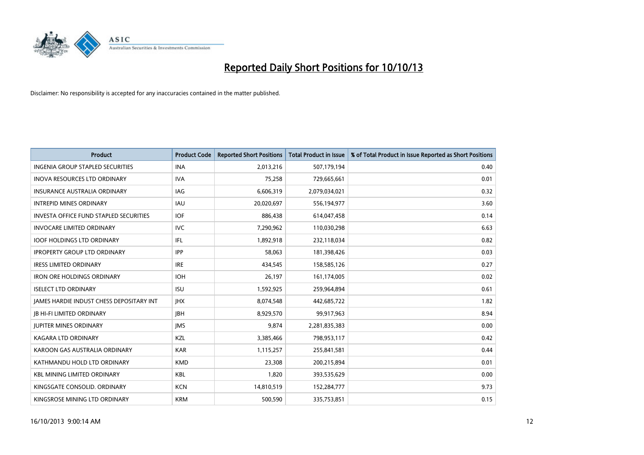

| <b>Product</b>                                  | <b>Product Code</b> | <b>Reported Short Positions</b> | <b>Total Product in Issue</b> | % of Total Product in Issue Reported as Short Positions |
|-------------------------------------------------|---------------------|---------------------------------|-------------------------------|---------------------------------------------------------|
| <b>INGENIA GROUP STAPLED SECURITIES</b>         | <b>INA</b>          | 2,013,216                       | 507,179,194                   | 0.40                                                    |
| INOVA RESOURCES LTD ORDINARY                    | <b>IVA</b>          | 75,258                          | 729,665,661                   | 0.01                                                    |
| <b>INSURANCE AUSTRALIA ORDINARY</b>             | IAG                 | 6,606,319                       | 2,079,034,021                 | 0.32                                                    |
| <b>INTREPID MINES ORDINARY</b>                  | <b>IAU</b>          | 20,020,697                      | 556,194,977                   | 3.60                                                    |
| <b>INVESTA OFFICE FUND STAPLED SECURITIES</b>   | <b>IOF</b>          | 886,438                         | 614,047,458                   | 0.14                                                    |
| <b>INVOCARE LIMITED ORDINARY</b>                | <b>IVC</b>          | 7,290,962                       | 110,030,298                   | 6.63                                                    |
| <b>IOOF HOLDINGS LTD ORDINARY</b>               | IFL                 | 1,892,918                       | 232,118,034                   | 0.82                                                    |
| <b>IPROPERTY GROUP LTD ORDINARY</b>             | <b>IPP</b>          | 58,063                          | 181,398,426                   | 0.03                                                    |
| <b>IRESS LIMITED ORDINARY</b>                   | <b>IRE</b>          | 434,545                         | 158,585,126                   | 0.27                                                    |
| <b>IRON ORE HOLDINGS ORDINARY</b>               | <b>IOH</b>          | 26,197                          | 161,174,005                   | 0.02                                                    |
| <b>ISELECT LTD ORDINARY</b>                     | <b>ISU</b>          | 1,592,925                       | 259,964,894                   | 0.61                                                    |
| <b>JAMES HARDIE INDUST CHESS DEPOSITARY INT</b> | <b>IHX</b>          | 8,074,548                       | 442,685,722                   | 1.82                                                    |
| <b>JB HI-FI LIMITED ORDINARY</b>                | <b>IBH</b>          | 8,929,570                       | 99,917,963                    | 8.94                                                    |
| <b>JUPITER MINES ORDINARY</b>                   | <b>IMS</b>          | 9,874                           | 2,281,835,383                 | 0.00                                                    |
| <b>KAGARA LTD ORDINARY</b>                      | KZL                 | 3,385,466                       | 798,953,117                   | 0.42                                                    |
| KAROON GAS AUSTRALIA ORDINARY                   | <b>KAR</b>          | 1,115,257                       | 255,841,581                   | 0.44                                                    |
| KATHMANDU HOLD LTD ORDINARY                     | <b>KMD</b>          | 23,308                          | 200,215,894                   | 0.01                                                    |
| <b>KBL MINING LIMITED ORDINARY</b>              | <b>KBL</b>          | 1,820                           | 393,535,629                   | 0.00                                                    |
| KINGSGATE CONSOLID. ORDINARY                    | <b>KCN</b>          | 14,810,519                      | 152,284,777                   | 9.73                                                    |
| KINGSROSE MINING LTD ORDINARY                   | <b>KRM</b>          | 500,590                         | 335,753,851                   | 0.15                                                    |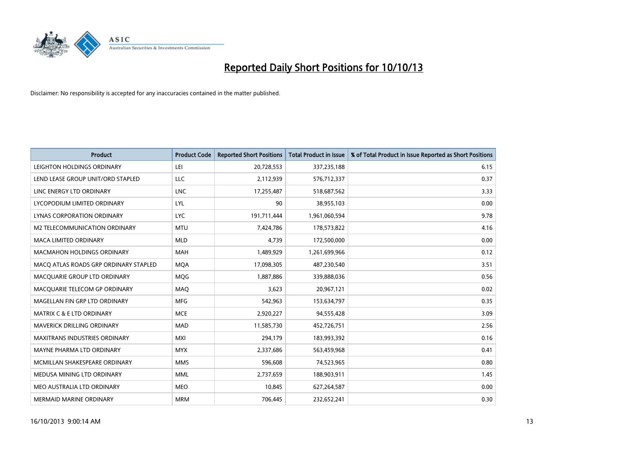

| <b>Product</b>                        | <b>Product Code</b> | <b>Reported Short Positions</b> | <b>Total Product in Issue</b> | % of Total Product in Issue Reported as Short Positions |
|---------------------------------------|---------------------|---------------------------------|-------------------------------|---------------------------------------------------------|
| LEIGHTON HOLDINGS ORDINARY            | LEI                 | 20,728,553                      | 337,235,188                   | 6.15                                                    |
| LEND LEASE GROUP UNIT/ORD STAPLED     | LLC                 | 2,112,939                       | 576,712,337                   | 0.37                                                    |
| LINC ENERGY LTD ORDINARY              | <b>LNC</b>          | 17,255,487                      | 518,687,562                   | 3.33                                                    |
| LYCOPODIUM LIMITED ORDINARY           | <b>LYL</b>          | 90                              | 38,955,103                    | 0.00                                                    |
| <b>LYNAS CORPORATION ORDINARY</b>     | <b>LYC</b>          | 191,711,444                     | 1,961,060,594                 | 9.78                                                    |
| M2 TELECOMMUNICATION ORDINARY         | <b>MTU</b>          | 7,424,786                       | 178,573,822                   | 4.16                                                    |
| MACA LIMITED ORDINARY                 | <b>MLD</b>          | 4,739                           | 172,500,000                   | 0.00                                                    |
| MACMAHON HOLDINGS ORDINARY            | <b>MAH</b>          | 1,489,929                       | 1,261,699,966                 | 0.12                                                    |
| MACO ATLAS ROADS GRP ORDINARY STAPLED | <b>MOA</b>          | 17,098,305                      | 487,230,540                   | 3.51                                                    |
| MACQUARIE GROUP LTD ORDINARY          | MQG                 | 1,887,886                       | 339,888,036                   | 0.56                                                    |
| MACQUARIE TELECOM GP ORDINARY         | <b>MAQ</b>          | 3,623                           | 20,967,121                    | 0.02                                                    |
| MAGELLAN FIN GRP LTD ORDINARY         | <b>MFG</b>          | 542,963                         | 153,634,797                   | 0.35                                                    |
| <b>MATRIX C &amp; E LTD ORDINARY</b>  | <b>MCE</b>          | 2,920,227                       | 94,555,428                    | 3.09                                                    |
| <b>MAVERICK DRILLING ORDINARY</b>     | <b>MAD</b>          | 11,585,730                      | 452,726,751                   | 2.56                                                    |
| <b>MAXITRANS INDUSTRIES ORDINARY</b>  | <b>MXI</b>          | 294,179                         | 183,993,392                   | 0.16                                                    |
| MAYNE PHARMA LTD ORDINARY             | <b>MYX</b>          | 2,337,686                       | 563,459,968                   | 0.41                                                    |
| MCMILLAN SHAKESPEARE ORDINARY         | <b>MMS</b>          | 596,608                         | 74,523,965                    | 0.80                                                    |
| MEDUSA MINING LTD ORDINARY            | <b>MML</b>          | 2,737,659                       | 188,903,911                   | 1.45                                                    |
| MEO AUSTRALIA LTD ORDINARY            | <b>MEO</b>          | 10,845                          | 627,264,587                   | 0.00                                                    |
| <b>MERMAID MARINE ORDINARY</b>        | <b>MRM</b>          | 706,445                         | 232,652,241                   | 0.30                                                    |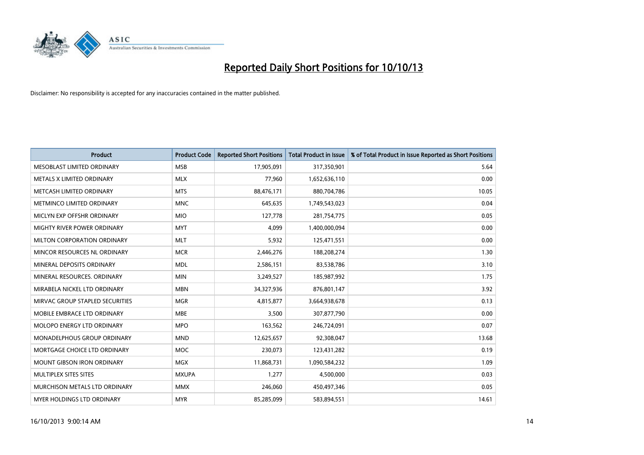

| <b>Product</b>                  | <b>Product Code</b> | <b>Reported Short Positions</b> | <b>Total Product in Issue</b> | % of Total Product in Issue Reported as Short Positions |
|---------------------------------|---------------------|---------------------------------|-------------------------------|---------------------------------------------------------|
| MESOBLAST LIMITED ORDINARY      | <b>MSB</b>          | 17,905,091                      | 317,350,901                   | 5.64                                                    |
| METALS X LIMITED ORDINARY       | <b>MLX</b>          | 77,960                          | 1,652,636,110                 | 0.00                                                    |
| METCASH LIMITED ORDINARY        | <b>MTS</b>          | 88,476,171                      | 880,704,786                   | 10.05                                                   |
| METMINCO LIMITED ORDINARY       | <b>MNC</b>          | 645,635                         | 1,749,543,023                 | 0.04                                                    |
| MICLYN EXP OFFSHR ORDINARY      | <b>MIO</b>          | 127,778                         | 281,754,775                   | 0.05                                                    |
| MIGHTY RIVER POWER ORDINARY     | <b>MYT</b>          | 4,099                           | 1,400,000,094                 | 0.00                                                    |
| MILTON CORPORATION ORDINARY     | <b>MLT</b>          | 5,932                           | 125,471,551                   | 0.00                                                    |
| MINCOR RESOURCES NL ORDINARY    | <b>MCR</b>          | 2,446,276                       | 188,208,274                   | 1.30                                                    |
| MINERAL DEPOSITS ORDINARY       | <b>MDL</b>          | 2,586,151                       | 83,538,786                    | 3.10                                                    |
| MINERAL RESOURCES, ORDINARY     | <b>MIN</b>          | 3,249,527                       | 185,987,992                   | 1.75                                                    |
| MIRABELA NICKEL LTD ORDINARY    | <b>MBN</b>          | 34,327,936                      | 876,801,147                   | 3.92                                                    |
| MIRVAC GROUP STAPLED SECURITIES | <b>MGR</b>          | 4,815,877                       | 3,664,938,678                 | 0.13                                                    |
| MOBILE EMBRACE LTD ORDINARY     | <b>MBE</b>          | 3,500                           | 307,877,790                   | 0.00                                                    |
| MOLOPO ENERGY LTD ORDINARY      | <b>MPO</b>          | 163,562                         | 246,724,091                   | 0.07                                                    |
| MONADELPHOUS GROUP ORDINARY     | <b>MND</b>          | 12,625,657                      | 92,308,047                    | 13.68                                                   |
| MORTGAGE CHOICE LTD ORDINARY    | MOC                 | 230,073                         | 123,431,282                   | 0.19                                                    |
| MOUNT GIBSON IRON ORDINARY      | <b>MGX</b>          | 11,868,731                      | 1,090,584,232                 | 1.09                                                    |
| MULTIPLEX SITES SITES           | <b>MXUPA</b>        | 1,277                           | 4,500,000                     | 0.03                                                    |
| MURCHISON METALS LTD ORDINARY   | <b>MMX</b>          | 246,060                         | 450,497,346                   | 0.05                                                    |
| MYER HOLDINGS LTD ORDINARY      | <b>MYR</b>          | 85,285,099                      | 583,894,551                   | 14.61                                                   |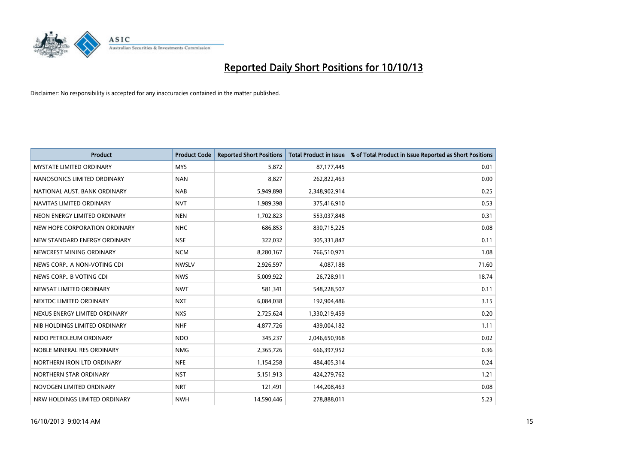

| <b>Product</b>                  | <b>Product Code</b> | <b>Reported Short Positions</b> | <b>Total Product in Issue</b> | % of Total Product in Issue Reported as Short Positions |
|---------------------------------|---------------------|---------------------------------|-------------------------------|---------------------------------------------------------|
| <b>MYSTATE LIMITED ORDINARY</b> | <b>MYS</b>          | 5,872                           | 87,177,445                    | 0.01                                                    |
| NANOSONICS LIMITED ORDINARY     | <b>NAN</b>          | 8,827                           | 262,822,463                   | 0.00                                                    |
| NATIONAL AUST, BANK ORDINARY    | <b>NAB</b>          | 5,949,898                       | 2,348,902,914                 | 0.25                                                    |
| NAVITAS LIMITED ORDINARY        | <b>NVT</b>          | 1,989,398                       | 375,416,910                   | 0.53                                                    |
| NEON ENERGY LIMITED ORDINARY    | <b>NEN</b>          | 1,702,823                       | 553,037,848                   | 0.31                                                    |
| NEW HOPE CORPORATION ORDINARY   | <b>NHC</b>          | 686,853                         | 830,715,225                   | 0.08                                                    |
| NEW STANDARD ENERGY ORDINARY    | <b>NSE</b>          | 322,032                         | 305,331,847                   | 0.11                                                    |
| NEWCREST MINING ORDINARY        | <b>NCM</b>          | 8,280,167                       | 766,510,971                   | 1.08                                                    |
| NEWS CORP A NON-VOTING CDI      | <b>NWSLV</b>        | 2,926,597                       | 4,087,188                     | 71.60                                                   |
| NEWS CORP B VOTING CDI          | <b>NWS</b>          | 5,009,922                       | 26,728,911                    | 18.74                                                   |
| NEWSAT LIMITED ORDINARY         | <b>NWT</b>          | 581,341                         | 548,228,507                   | 0.11                                                    |
| NEXTDC LIMITED ORDINARY         | <b>NXT</b>          | 6,084,038                       | 192,904,486                   | 3.15                                                    |
| NEXUS ENERGY LIMITED ORDINARY   | <b>NXS</b>          | 2,725,624                       | 1,330,219,459                 | 0.20                                                    |
| NIB HOLDINGS LIMITED ORDINARY   | <b>NHF</b>          | 4,877,726                       | 439,004,182                   | 1.11                                                    |
| NIDO PETROLEUM ORDINARY         | <b>NDO</b>          | 345,237                         | 2,046,650,968                 | 0.02                                                    |
| NOBLE MINERAL RES ORDINARY      | <b>NMG</b>          | 2,365,726                       | 666,397,952                   | 0.36                                                    |
| NORTHERN IRON LTD ORDINARY      | <b>NFE</b>          | 1,154,258                       | 484,405,314                   | 0.24                                                    |
| NORTHERN STAR ORDINARY          | <b>NST</b>          | 5,151,913                       | 424,279,762                   | 1.21                                                    |
| NOVOGEN LIMITED ORDINARY        | <b>NRT</b>          | 121,491                         | 144,208,463                   | 0.08                                                    |
| NRW HOLDINGS LIMITED ORDINARY   | <b>NWH</b>          | 14,590,446                      | 278,888,011                   | 5.23                                                    |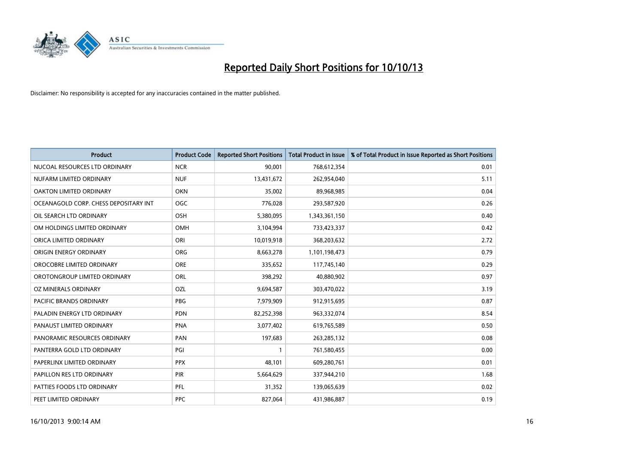

| <b>Product</b>                        | <b>Product Code</b> | <b>Reported Short Positions</b> | <b>Total Product in Issue</b> | % of Total Product in Issue Reported as Short Positions |
|---------------------------------------|---------------------|---------------------------------|-------------------------------|---------------------------------------------------------|
| NUCOAL RESOURCES LTD ORDINARY         | <b>NCR</b>          | 90,001                          | 768,612,354                   | 0.01                                                    |
| NUFARM LIMITED ORDINARY               | <b>NUF</b>          | 13,431,672                      | 262,954,040                   | 5.11                                                    |
| OAKTON LIMITED ORDINARY               | <b>OKN</b>          | 35,002                          | 89,968,985                    | 0.04                                                    |
| OCEANAGOLD CORP. CHESS DEPOSITARY INT | <b>OGC</b>          | 776,028                         | 293,587,920                   | 0.26                                                    |
| OIL SEARCH LTD ORDINARY               | OSH                 | 5,380,095                       | 1,343,361,150                 | 0.40                                                    |
| OM HOLDINGS LIMITED ORDINARY          | OMH                 | 3,104,994                       | 733,423,337                   | 0.42                                                    |
| ORICA LIMITED ORDINARY                | ORI                 | 10,019,918                      | 368,203,632                   | 2.72                                                    |
| ORIGIN ENERGY ORDINARY                | <b>ORG</b>          | 8,663,278                       | 1,101,198,473                 | 0.79                                                    |
| OROCOBRE LIMITED ORDINARY             | <b>ORE</b>          | 335,652                         | 117,745,140                   | 0.29                                                    |
| OROTONGROUP LIMITED ORDINARY          | ORL                 | 398,292                         | 40,880,902                    | 0.97                                                    |
| OZ MINERALS ORDINARY                  | OZL                 | 9,694,587                       | 303,470,022                   | 3.19                                                    |
| PACIFIC BRANDS ORDINARY               | <b>PBG</b>          | 7,979,909                       | 912,915,695                   | 0.87                                                    |
| PALADIN ENERGY LTD ORDINARY           | <b>PDN</b>          | 82,252,398                      | 963,332,074                   | 8.54                                                    |
| PANAUST LIMITED ORDINARY              | <b>PNA</b>          | 3,077,402                       | 619,765,589                   | 0.50                                                    |
| PANORAMIC RESOURCES ORDINARY          | PAN                 | 197,683                         | 263,285,132                   | 0.08                                                    |
| PANTERRA GOLD LTD ORDINARY            | PGI                 |                                 | 761,580,455                   | 0.00                                                    |
| PAPERLINX LIMITED ORDINARY            | <b>PPX</b>          | 48,101                          | 609,280,761                   | 0.01                                                    |
| PAPILLON RES LTD ORDINARY             | PIR                 | 5,664,629                       | 337,944,210                   | 1.68                                                    |
| PATTIES FOODS LTD ORDINARY            | PFL                 | 31,352                          | 139,065,639                   | 0.02                                                    |
| PEET LIMITED ORDINARY                 | <b>PPC</b>          | 827,064                         | 431,986,887                   | 0.19                                                    |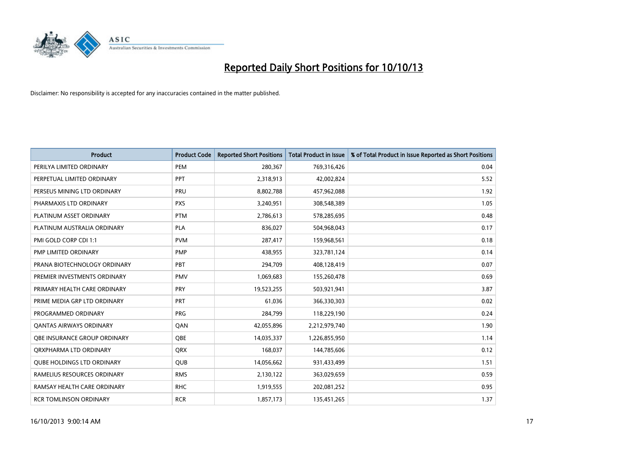

| <b>Product</b>                    | <b>Product Code</b> | <b>Reported Short Positions</b> | <b>Total Product in Issue</b> | % of Total Product in Issue Reported as Short Positions |
|-----------------------------------|---------------------|---------------------------------|-------------------------------|---------------------------------------------------------|
| PERILYA LIMITED ORDINARY          | PEM                 | 280,367                         | 769,316,426                   | 0.04                                                    |
| PERPETUAL LIMITED ORDINARY        | <b>PPT</b>          | 2,318,913                       | 42,002,824                    | 5.52                                                    |
| PERSEUS MINING LTD ORDINARY       | <b>PRU</b>          | 8,802,788                       | 457,962,088                   | 1.92                                                    |
| PHARMAXIS LTD ORDINARY            | <b>PXS</b>          | 3,240,951                       | 308,548,389                   | 1.05                                                    |
| PLATINUM ASSET ORDINARY           | <b>PTM</b>          | 2,786,613                       | 578,285,695                   | 0.48                                                    |
| PLATINUM AUSTRALIA ORDINARY       | <b>PLA</b>          | 836,027                         | 504,968,043                   | 0.17                                                    |
| PMI GOLD CORP CDI 1:1             | <b>PVM</b>          | 287,417                         | 159,968,561                   | 0.18                                                    |
| PMP LIMITED ORDINARY              | <b>PMP</b>          | 438,955                         | 323,781,124                   | 0.14                                                    |
| PRANA BIOTECHNOLOGY ORDINARY      | PBT                 | 294,709                         | 408,128,419                   | 0.07                                                    |
| PREMIER INVESTMENTS ORDINARY      | <b>PMV</b>          | 1,069,683                       | 155,260,478                   | 0.69                                                    |
| PRIMARY HEALTH CARE ORDINARY      | <b>PRY</b>          | 19,523,255                      | 503,921,941                   | 3.87                                                    |
| PRIME MEDIA GRP LTD ORDINARY      | <b>PRT</b>          | 61,036                          | 366,330,303                   | 0.02                                                    |
| PROGRAMMED ORDINARY               | <b>PRG</b>          | 284,799                         | 118,229,190                   | 0.24                                                    |
| <b>QANTAS AIRWAYS ORDINARY</b>    | QAN                 | 42,055,896                      | 2,212,979,740                 | 1.90                                                    |
| OBE INSURANCE GROUP ORDINARY      | <b>OBE</b>          | 14,035,337                      | 1,226,855,950                 | 1.14                                                    |
| ORXPHARMA LTD ORDINARY            | <b>QRX</b>          | 168,037                         | 144,785,606                   | 0.12                                                    |
| <b>QUBE HOLDINGS LTD ORDINARY</b> | <b>QUB</b>          | 14,056,662                      | 931,433,499                   | 1.51                                                    |
| RAMELIUS RESOURCES ORDINARY       | <b>RMS</b>          | 2,130,122                       | 363,029,659                   | 0.59                                                    |
| RAMSAY HEALTH CARE ORDINARY       | <b>RHC</b>          | 1,919,555                       | 202,081,252                   | 0.95                                                    |
| <b>RCR TOMLINSON ORDINARY</b>     | <b>RCR</b>          | 1,857,173                       | 135,451,265                   | 1.37                                                    |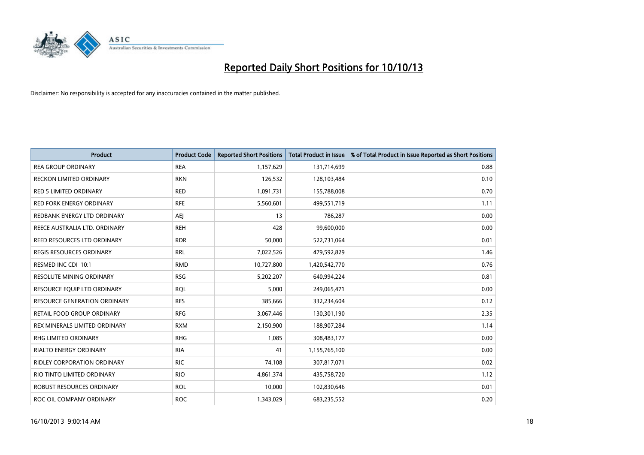

| <b>Product</b>                      | <b>Product Code</b> | <b>Reported Short Positions</b> | <b>Total Product in Issue</b> | % of Total Product in Issue Reported as Short Positions |
|-------------------------------------|---------------------|---------------------------------|-------------------------------|---------------------------------------------------------|
| <b>REA GROUP ORDINARY</b>           | <b>REA</b>          | 1,157,629                       | 131,714,699                   | 0.88                                                    |
| RECKON LIMITED ORDINARY             | <b>RKN</b>          | 126,532                         | 128,103,484                   | 0.10                                                    |
| <b>RED 5 LIMITED ORDINARY</b>       | <b>RED</b>          | 1,091,731                       | 155,788,008                   | 0.70                                                    |
| <b>RED FORK ENERGY ORDINARY</b>     | <b>RFE</b>          | 5,560,601                       | 499,551,719                   | 1.11                                                    |
| REDBANK ENERGY LTD ORDINARY         | <b>AEI</b>          | 13                              | 786,287                       | 0.00                                                    |
| REECE AUSTRALIA LTD. ORDINARY       | <b>REH</b>          | 428                             | 99,600,000                    | 0.00                                                    |
| REED RESOURCES LTD ORDINARY         | <b>RDR</b>          | 50,000                          | 522,731,064                   | 0.01                                                    |
| REGIS RESOURCES ORDINARY            | <b>RRL</b>          | 7,022,526                       | 479,592,829                   | 1.46                                                    |
| RESMED INC CDI 10:1                 | <b>RMD</b>          | 10,727,800                      | 1,420,542,770                 | 0.76                                                    |
| <b>RESOLUTE MINING ORDINARY</b>     | <b>RSG</b>          | 5,202,207                       | 640,994,224                   | 0.81                                                    |
| RESOURCE EQUIP LTD ORDINARY         | <b>RQL</b>          | 5,000                           | 249,065,471                   | 0.00                                                    |
| <b>RESOURCE GENERATION ORDINARY</b> | <b>RES</b>          | 385,666                         | 332,234,604                   | 0.12                                                    |
| RETAIL FOOD GROUP ORDINARY          | <b>RFG</b>          | 3,067,446                       | 130,301,190                   | 2.35                                                    |
| REX MINERALS LIMITED ORDINARY       | <b>RXM</b>          | 2,150,900                       | 188,907,284                   | 1.14                                                    |
| <b>RHG LIMITED ORDINARY</b>         | <b>RHG</b>          | 1,085                           | 308,483,177                   | 0.00                                                    |
| RIALTO ENERGY ORDINARY              | <b>RIA</b>          | 41                              | 1,155,765,100                 | 0.00                                                    |
| RIDLEY CORPORATION ORDINARY         | <b>RIC</b>          | 74,108                          | 307,817,071                   | 0.02                                                    |
| RIO TINTO LIMITED ORDINARY          | <b>RIO</b>          | 4,861,374                       | 435,758,720                   | 1.12                                                    |
| <b>ROBUST RESOURCES ORDINARY</b>    | <b>ROL</b>          | 10,000                          | 102,830,646                   | 0.01                                                    |
| ROC OIL COMPANY ORDINARY            | <b>ROC</b>          | 1,343,029                       | 683,235,552                   | 0.20                                                    |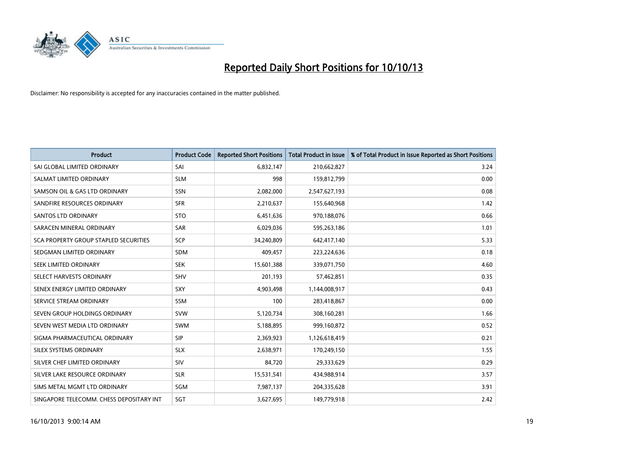

| <b>Product</b>                           | <b>Product Code</b> | <b>Reported Short Positions</b> | <b>Total Product in Issue</b> | % of Total Product in Issue Reported as Short Positions |
|------------------------------------------|---------------------|---------------------------------|-------------------------------|---------------------------------------------------------|
| SAI GLOBAL LIMITED ORDINARY              | SAI                 | 6,832,147                       | 210,662,827                   | 3.24                                                    |
| SALMAT LIMITED ORDINARY                  | <b>SLM</b>          | 998                             | 159,812,799                   | 0.00                                                    |
| SAMSON OIL & GAS LTD ORDINARY            | <b>SSN</b>          | 2,082,000                       | 2,547,627,193                 | 0.08                                                    |
| SANDFIRE RESOURCES ORDINARY              | <b>SFR</b>          | 2,210,637                       | 155,640,968                   | 1.42                                                    |
| <b>SANTOS LTD ORDINARY</b>               | <b>STO</b>          | 6,451,636                       | 970,188,076                   | 0.66                                                    |
| SARACEN MINERAL ORDINARY                 | <b>SAR</b>          | 6,029,036                       | 595,263,186                   | 1.01                                                    |
| SCA PROPERTY GROUP STAPLED SECURITIES    | <b>SCP</b>          | 34,240,809                      | 642,417,140                   | 5.33                                                    |
| SEDGMAN LIMITED ORDINARY                 | SDM                 | 409,457                         | 223,224,636                   | 0.18                                                    |
| SEEK LIMITED ORDINARY                    | <b>SEK</b>          | 15,601,388                      | 339,071,750                   | 4.60                                                    |
| SELECT HARVESTS ORDINARY                 | <b>SHV</b>          | 201,193                         | 57,462,851                    | 0.35                                                    |
| SENEX ENERGY LIMITED ORDINARY            | <b>SXY</b>          | 4,903,498                       | 1,144,008,917                 | 0.43                                                    |
| SERVICE STREAM ORDINARY                  | SSM                 | 100                             | 283,418,867                   | 0.00                                                    |
| SEVEN GROUP HOLDINGS ORDINARY            | <b>SVW</b>          | 5,120,734                       | 308,160,281                   | 1.66                                                    |
| SEVEN WEST MEDIA LTD ORDINARY            | <b>SWM</b>          | 5,188,895                       | 999,160,872                   | 0.52                                                    |
| SIGMA PHARMACEUTICAL ORDINARY            | <b>SIP</b>          | 2,369,923                       | 1,126,618,419                 | 0.21                                                    |
| SILEX SYSTEMS ORDINARY                   | <b>SLX</b>          | 2,638,971                       | 170,249,150                   | 1.55                                                    |
| SILVER CHEF LIMITED ORDINARY             | SIV                 | 84,720                          | 29,333,629                    | 0.29                                                    |
| SILVER LAKE RESOURCE ORDINARY            | <b>SLR</b>          | 15,531,541                      | 434,988,914                   | 3.57                                                    |
| SIMS METAL MGMT LTD ORDINARY             | SGM                 | 7,987,137                       | 204,335,628                   | 3.91                                                    |
| SINGAPORE TELECOMM. CHESS DEPOSITARY INT | SGT                 | 3,627,695                       | 149,779,918                   | 2.42                                                    |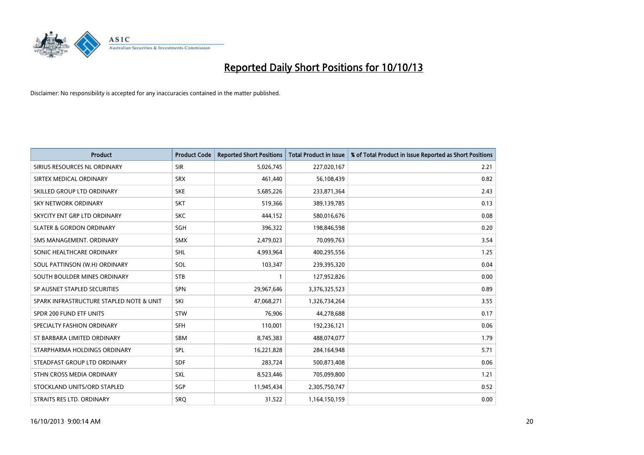

| <b>Product</b>                           | <b>Product Code</b> | <b>Reported Short Positions</b> | <b>Total Product in Issue</b> | % of Total Product in Issue Reported as Short Positions |
|------------------------------------------|---------------------|---------------------------------|-------------------------------|---------------------------------------------------------|
| SIRIUS RESOURCES NL ORDINARY             | <b>SIR</b>          | 5,026,745                       | 227,020,167                   | 2.21                                                    |
| SIRTEX MEDICAL ORDINARY                  | <b>SRX</b>          | 461,440                         | 56,108,439                    | 0.82                                                    |
| SKILLED GROUP LTD ORDINARY               | <b>SKE</b>          | 5,685,226                       | 233,871,364                   | 2.43                                                    |
| SKY NETWORK ORDINARY                     | <b>SKT</b>          | 519,366                         | 389,139,785                   | 0.13                                                    |
| SKYCITY ENT GRP LTD ORDINARY             | <b>SKC</b>          | 444,152                         | 580,016,676                   | 0.08                                                    |
| <b>SLATER &amp; GORDON ORDINARY</b>      | SGH                 | 396,322                         | 198,846,598                   | 0.20                                                    |
| SMS MANAGEMENT, ORDINARY                 | <b>SMX</b>          | 2,479,023                       | 70,099,763                    | 3.54                                                    |
| SONIC HEALTHCARE ORDINARY                | <b>SHL</b>          | 4,993,964                       | 400,295,556                   | 1.25                                                    |
| SOUL PATTINSON (W.H) ORDINARY            | SOL                 | 103,347                         | 239,395,320                   | 0.04                                                    |
| SOUTH BOULDER MINES ORDINARY             | <b>STB</b>          | $\mathbf{1}$                    | 127,952,826                   | 0.00                                                    |
| SP AUSNET STAPLED SECURITIES             | SPN                 | 29,967,646                      | 3,376,325,523                 | 0.89                                                    |
| SPARK INFRASTRUCTURE STAPLED NOTE & UNIT | SKI                 | 47,068,271                      | 1,326,734,264                 | 3.55                                                    |
| SPDR 200 FUND ETF UNITS                  | <b>STW</b>          | 76,906                          | 44,278,688                    | 0.17                                                    |
| SPECIALTY FASHION ORDINARY               | <b>SFH</b>          | 110,001                         | 192,236,121                   | 0.06                                                    |
| ST BARBARA LIMITED ORDINARY              | <b>SBM</b>          | 8,745,383                       | 488,074,077                   | 1.79                                                    |
| STARPHARMA HOLDINGS ORDINARY             | <b>SPL</b>          | 16,221,828                      | 284,164,948                   | 5.71                                                    |
| STEADFAST GROUP LTD ORDINARY             | <b>SDF</b>          | 283,724                         | 500,873,408                   | 0.06                                                    |
| STHN CROSS MEDIA ORDINARY                | SXL                 | 8,523,446                       | 705,099,800                   | 1.21                                                    |
| STOCKLAND UNITS/ORD STAPLED              | SGP                 | 11,945,434                      | 2,305,750,747                 | 0.52                                                    |
| STRAITS RES LTD. ORDINARY                | <b>SRQ</b>          | 31,522                          | 1,164,150,159                 | 0.00                                                    |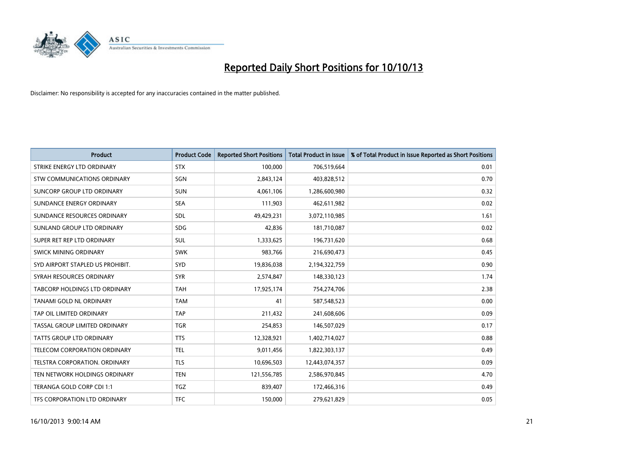

| <b>Product</b>                   | <b>Product Code</b> | <b>Reported Short Positions</b> | <b>Total Product in Issue</b> | % of Total Product in Issue Reported as Short Positions |
|----------------------------------|---------------------|---------------------------------|-------------------------------|---------------------------------------------------------|
| STRIKE ENERGY LTD ORDINARY       | <b>STX</b>          | 100,000                         | 706,519,664                   | 0.01                                                    |
| STW COMMUNICATIONS ORDINARY      | SGN                 | 2,843,124                       | 403,828,512                   | 0.70                                                    |
| SUNCORP GROUP LTD ORDINARY       | <b>SUN</b>          | 4,061,106                       | 1,286,600,980                 | 0.32                                                    |
| SUNDANCE ENERGY ORDINARY         | <b>SEA</b>          | 111,903                         | 462,611,982                   | 0.02                                                    |
| SUNDANCE RESOURCES ORDINARY      | SDL                 | 49,429,231                      | 3,072,110,985                 | 1.61                                                    |
| SUNLAND GROUP LTD ORDINARY       | <b>SDG</b>          | 42,836                          | 181,710,087                   | 0.02                                                    |
| SUPER RET REP LTD ORDINARY       | <b>SUL</b>          | 1,333,625                       | 196,731,620                   | 0.68                                                    |
| <b>SWICK MINING ORDINARY</b>     | <b>SWK</b>          | 983,766                         | 216,690,473                   | 0.45                                                    |
| SYD AIRPORT STAPLED US PROHIBIT. | SYD                 | 19,836,038                      | 2,194,322,759                 | 0.90                                                    |
| SYRAH RESOURCES ORDINARY         | <b>SYR</b>          | 2,574,847                       | 148,330,123                   | 1.74                                                    |
| TABCORP HOLDINGS LTD ORDINARY    | <b>TAH</b>          | 17,925,174                      | 754,274,706                   | 2.38                                                    |
| TANAMI GOLD NL ORDINARY          | <b>TAM</b>          | 41                              | 587,548,523                   | 0.00                                                    |
| TAP OIL LIMITED ORDINARY         | <b>TAP</b>          | 211,432                         | 241,608,606                   | 0.09                                                    |
| TASSAL GROUP LIMITED ORDINARY    | <b>TGR</b>          | 254,853                         | 146,507,029                   | 0.17                                                    |
| <b>TATTS GROUP LTD ORDINARY</b>  | <b>TTS</b>          | 12,328,921                      | 1,402,714,027                 | 0.88                                                    |
| TELECOM CORPORATION ORDINARY     | <b>TEL</b>          | 9,011,456                       | 1,822,303,137                 | 0.49                                                    |
| TELSTRA CORPORATION, ORDINARY    | <b>TLS</b>          | 10,696,503                      | 12,443,074,357                | 0.09                                                    |
| TEN NETWORK HOLDINGS ORDINARY    | <b>TEN</b>          | 121,556,785                     | 2,586,970,845                 | 4.70                                                    |
| TERANGA GOLD CORP CDI 1:1        | <b>TGZ</b>          | 839,407                         | 172,466,316                   | 0.49                                                    |
| TFS CORPORATION LTD ORDINARY     | <b>TFC</b>          | 150,000                         | 279,621,829                   | 0.05                                                    |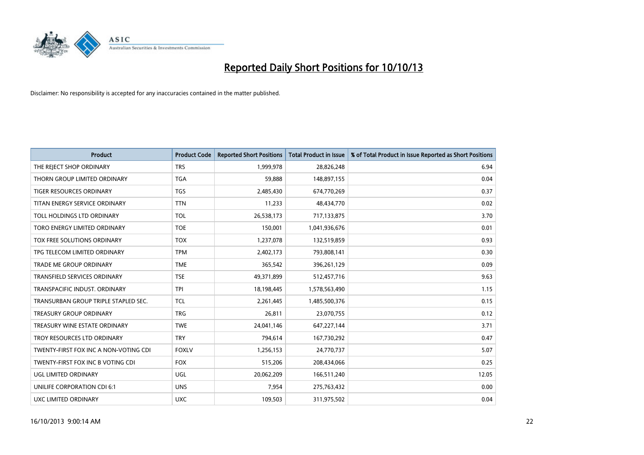

| <b>Product</b>                        | <b>Product Code</b> | <b>Reported Short Positions</b> | <b>Total Product in Issue</b> | % of Total Product in Issue Reported as Short Positions |
|---------------------------------------|---------------------|---------------------------------|-------------------------------|---------------------------------------------------------|
| THE REJECT SHOP ORDINARY              | <b>TRS</b>          | 1,999,978                       | 28,826,248                    | 6.94                                                    |
| THORN GROUP LIMITED ORDINARY          | <b>TGA</b>          | 59,888                          | 148,897,155                   | 0.04                                                    |
| <b>TIGER RESOURCES ORDINARY</b>       | <b>TGS</b>          | 2,485,430                       | 674,770,269                   | 0.37                                                    |
| TITAN ENERGY SERVICE ORDINARY         | <b>TTN</b>          | 11,233                          | 48,434,770                    | 0.02                                                    |
| TOLL HOLDINGS LTD ORDINARY            | <b>TOL</b>          | 26,538,173                      | 717,133,875                   | 3.70                                                    |
| TORO ENERGY LIMITED ORDINARY          | <b>TOE</b>          | 150,001                         | 1,041,936,676                 | 0.01                                                    |
| TOX FREE SOLUTIONS ORDINARY           | <b>TOX</b>          | 1,237,078                       | 132,519,859                   | 0.93                                                    |
| TPG TELECOM LIMITED ORDINARY          | <b>TPM</b>          | 2,402,173                       | 793,808,141                   | 0.30                                                    |
| <b>TRADE ME GROUP ORDINARY</b>        | <b>TME</b>          | 365,542                         | 396,261,129                   | 0.09                                                    |
| <b>TRANSFIELD SERVICES ORDINARY</b>   | <b>TSE</b>          | 49,371,899                      | 512,457,716                   | 9.63                                                    |
| TRANSPACIFIC INDUST. ORDINARY         | <b>TPI</b>          | 18,198,445                      | 1,578,563,490                 | 1.15                                                    |
| TRANSURBAN GROUP TRIPLE STAPLED SEC.  | TCL                 | 2,261,445                       | 1,485,500,376                 | 0.15                                                    |
| TREASURY GROUP ORDINARY               | <b>TRG</b>          | 26,811                          | 23,070,755                    | 0.12                                                    |
| TREASURY WINE ESTATE ORDINARY         | <b>TWE</b>          | 24,041,146                      | 647,227,144                   | 3.71                                                    |
| TROY RESOURCES LTD ORDINARY           | <b>TRY</b>          | 794,614                         | 167,730,292                   | 0.47                                                    |
| TWENTY-FIRST FOX INC A NON-VOTING CDI | <b>FOXLV</b>        | 1,256,153                       | 24,770,737                    | 5.07                                                    |
| TWENTY-FIRST FOX INC B VOTING CDI     | <b>FOX</b>          | 515,206                         | 208,434,066                   | 0.25                                                    |
| UGL LIMITED ORDINARY                  | <b>UGL</b>          | 20,062,209                      | 166,511,240                   | 12.05                                                   |
| UNILIFE CORPORATION CDI 6:1           | <b>UNS</b>          | 7,954                           | 275,763,432                   | 0.00                                                    |
| <b>UXC LIMITED ORDINARY</b>           | <b>UXC</b>          | 109,503                         | 311,975,502                   | 0.04                                                    |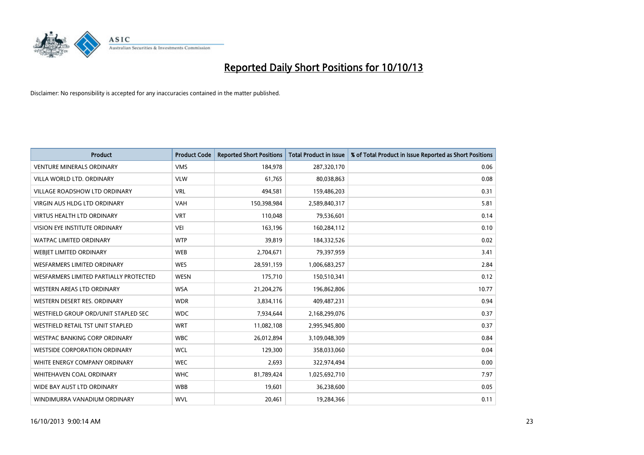

| <b>Product</b>                         | <b>Product Code</b> | <b>Reported Short Positions</b> | <b>Total Product in Issue</b> | % of Total Product in Issue Reported as Short Positions |
|----------------------------------------|---------------------|---------------------------------|-------------------------------|---------------------------------------------------------|
| <b>VENTURE MINERALS ORDINARY</b>       | <b>VMS</b>          | 184,978                         | 287,320,170                   | 0.06                                                    |
| VILLA WORLD LTD, ORDINARY              | <b>VLW</b>          | 61,765                          | 80,038,863                    | 0.08                                                    |
| <b>VILLAGE ROADSHOW LTD ORDINARY</b>   | <b>VRL</b>          | 494,581                         | 159,486,203                   | 0.31                                                    |
| <b>VIRGIN AUS HLDG LTD ORDINARY</b>    | <b>VAH</b>          | 150,398,984                     | 2,589,840,317                 | 5.81                                                    |
| <b>VIRTUS HEALTH LTD ORDINARY</b>      | <b>VRT</b>          | 110,048                         | 79,536,601                    | 0.14                                                    |
| VISION EYE INSTITUTE ORDINARY          | <b>VEI</b>          | 163,196                         | 160,284,112                   | 0.10                                                    |
| WATPAC LIMITED ORDINARY                | <b>WTP</b>          | 39,819                          | 184,332,526                   | 0.02                                                    |
| WEBIET LIMITED ORDINARY                | <b>WEB</b>          | 2,704,671                       | 79,397,959                    | 3.41                                                    |
| WESFARMERS LIMITED ORDINARY            | <b>WES</b>          | 28,591,159                      | 1,006,683,257                 | 2.84                                                    |
| WESFARMERS LIMITED PARTIALLY PROTECTED | <b>WESN</b>         | 175,710                         | 150,510,341                   | 0.12                                                    |
| WESTERN AREAS LTD ORDINARY             | <b>WSA</b>          | 21,204,276                      | 196,862,806                   | 10.77                                                   |
| WESTERN DESERT RES. ORDINARY           | <b>WDR</b>          | 3,834,116                       | 409,487,231                   | 0.94                                                    |
| WESTFIELD GROUP ORD/UNIT STAPLED SEC   | <b>WDC</b>          | 7,934,644                       | 2,168,299,076                 | 0.37                                                    |
| WESTFIELD RETAIL TST UNIT STAPLED      | <b>WRT</b>          | 11,082,108                      | 2,995,945,800                 | 0.37                                                    |
| WESTPAC BANKING CORP ORDINARY          | <b>WBC</b>          | 26,012,894                      | 3,109,048,309                 | 0.84                                                    |
| <b>WESTSIDE CORPORATION ORDINARY</b>   | <b>WCL</b>          | 129,300                         | 358,033,060                   | 0.04                                                    |
| WHITE ENERGY COMPANY ORDINARY          | <b>WEC</b>          | 2,693                           | 322,974,494                   | 0.00                                                    |
| WHITEHAVEN COAL ORDINARY               | <b>WHC</b>          | 81,789,424                      | 1,025,692,710                 | 7.97                                                    |
| WIDE BAY AUST LTD ORDINARY             | <b>WBB</b>          | 19,601                          | 36,238,600                    | 0.05                                                    |
| WINDIMURRA VANADIUM ORDINARY           | <b>WVL</b>          | 20,461                          | 19,284,366                    | 0.11                                                    |